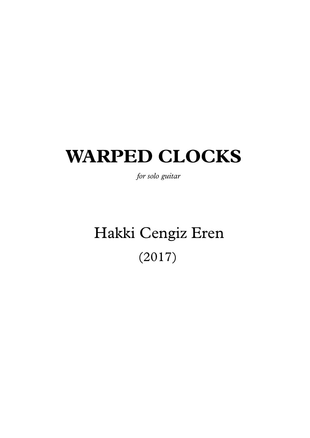## **WARPED CLOCKS**

*for solo guitar*

## (2017) Hakki Cengiz Eren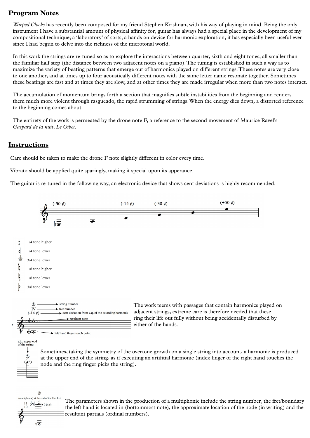## **Program Notes**

*Warped Clocks* has recently been composed for my friend Stephen Krishnan, with his way of playing in mind. Being the only instrument I have a substantial amount of physical affinity for, guitar has always had a special place in the development of my compositional technique; a 'laboratory' of sorts, a hands on device for harmonic exploration, it has especially been useful ever since I had begun to delve into the richness of the microtonal world.

In this work the strings are re-tuned so as to explore the interactions between quarter, sixth and eight tones, all smaller than the familiar half step (the distance between two adjacent notes on a piano).The tuning is established in such a way as to maximize the variety of beating patterns that emerge out of harmonics played on different strings. These notes are very close to one another, and at times up to four acoustically different notes with the same letter name resonate together. Sometimes these beatings are fast and at times they are slow, and at other times they are made irregular when more than two notes interact.

The accumulation of momentum brings forth a section that magnifies subtle instabilities from the beginning and renders them much more violent through rasgueado, the rapid strumming of strings.When the energy dies down, a distorted reference to the beginning comes about.

The entirety of the work is permeated by the drone note F, a reference to the second movement of Maurice Ravel's *Gaspard de la nuit*, *Le Gibet*.

## **Instructions**

√₹

Care should be taken to make the drone F note slightly different in color every time.

Vibrato should be applied quite sparingly, making it special upon its apperance.

The guitar is re-tuned in the following way, an electronic device that shows cent deviations is highly recommended.



the left hand is located in (bottommost note), the approximate location of the node (in writing) and the resultant partials (ordinal numbers).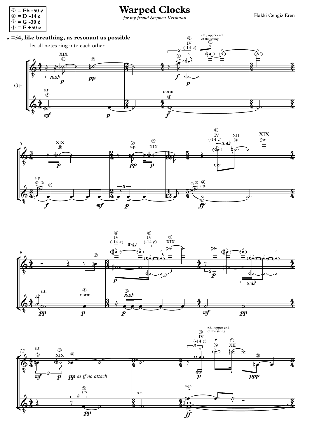





![](_page_3_Figure_3.jpeg)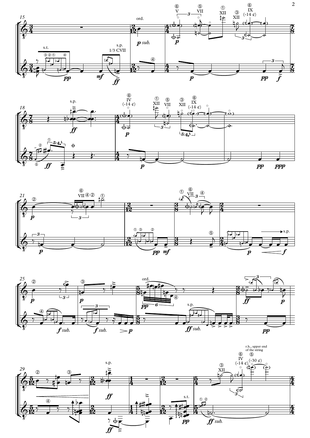![](_page_4_Figure_0.jpeg)

![](_page_4_Figure_1.jpeg)

![](_page_4_Figure_2.jpeg)

![](_page_4_Figure_3.jpeg)

![](_page_4_Figure_4.jpeg)

 $\overline{2}$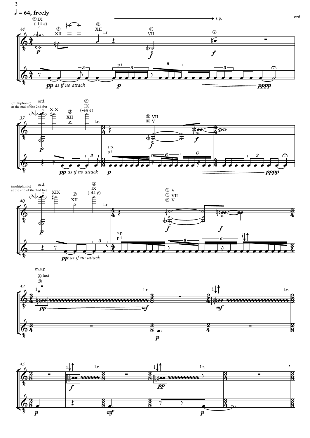![](_page_5_Figure_0.jpeg)

![](_page_5_Figure_1.jpeg)

![](_page_5_Figure_2.jpeg)

![](_page_5_Figure_3.jpeg)

![](_page_5_Figure_4.jpeg)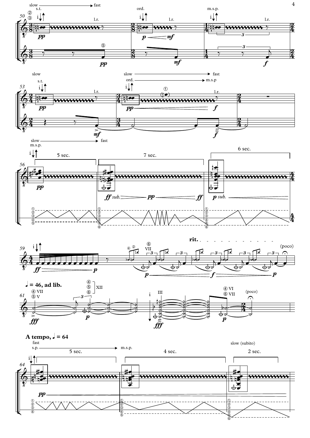![](_page_6_Figure_0.jpeg)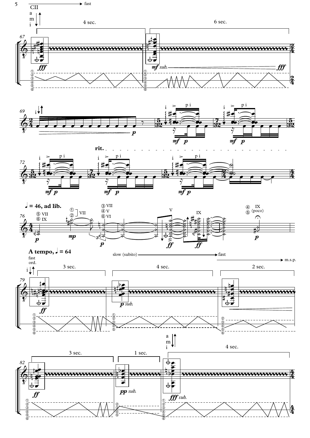![](_page_7_Figure_0.jpeg)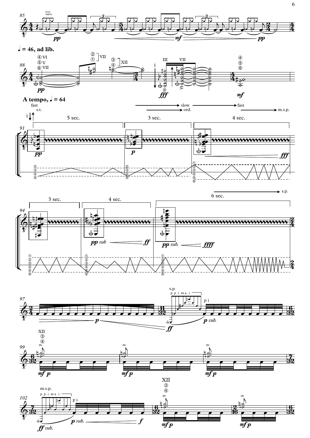![](_page_8_Figure_0.jpeg)

 $\boldsymbol{6}$ 

![](_page_8_Figure_1.jpeg)

![](_page_8_Figure_2.jpeg)

![](_page_8_Figure_3.jpeg)

![](_page_8_Figure_4.jpeg)

![](_page_8_Figure_5.jpeg)

![](_page_8_Figure_6.jpeg)

![](_page_8_Figure_7.jpeg)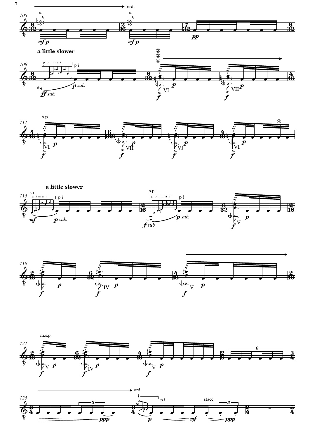![](_page_9_Figure_0.jpeg)

![](_page_9_Figure_1.jpeg)

![](_page_9_Figure_2.jpeg)

![](_page_9_Figure_3.jpeg)

![](_page_9_Figure_4.jpeg)

![](_page_9_Figure_5.jpeg)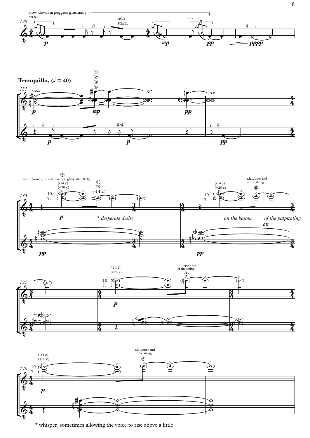![](_page_10_Figure_0.jpeg)

![](_page_10_Figure_1.jpeg)

![](_page_10_Figure_2.jpeg)

![](_page_10_Figure_3.jpeg)

![](_page_10_Figure_4.jpeg)

 $\star$  whisper, sometimes allowing the voice to rise above a little